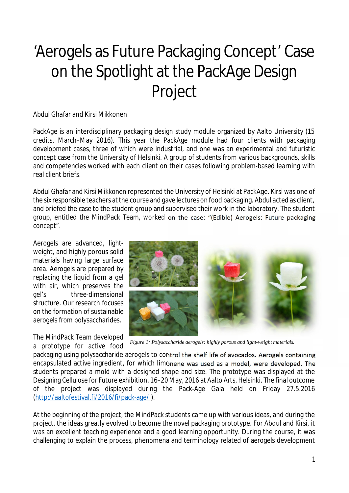## 'Aerogels as Future Packaging Concept' Case on the Spotlight at the PackAge Design Project

## Abdul Ghafar and Kirsi Mikkonen

PackAge is an interdisciplinary packaging design study module organized by Aalto University (15 credits, March–May 2016). This year the PackAge module had four clients with packaging development cases, three of which were industrial, and one was an experimental and futuristic concept case from the University of Helsinki. A group of students from various backgrounds, skills and competencies worked with each client on their cases following problem-based learning with real client briefs.

Abdul Ghafar and Kirsi Mikkonen represented the University of Helsinki at PackAge. Kirsi was one of the six responsible teachers at the course and gave lectures on food packaging. Abdul acted as client, and briefed the case to the student group and supervised their work in the laboratory. The student group, entitled the MindPack Team, worked on the case: "(Edible) Aerogels: Future packaging concept".

Aerogels are advanced, lightweight, and highly porous solid materials having large surface area. Aerogels are prepared by replacing the liquid from a gel with air, which preserves the gel's three-dimensional structure. Our research focuses on the formation of sustainable aerogels from polysaccharides.

The MindPack Team developed a prototype for active food



*Figure 1: Polysaccharide aerogels: highly porous and light-weight materials.*

packaging using polysaccharide aerogels to control the shelf life of avocados. Aerogels containing encapsulated active ingredient, for which limonene was used as a model, were developed. The students prepared a mold with a designed shape and size. The prototype was displayed at the Designing Cellulose for Future exhibition, 16–20 May, 2016 at Aalto Arts, Helsinki. The final outcome of the project was displayed during the Pack-Age Gala held on Friday 27.5.2016 (http://aaltofestival.fi/2016/fi/pack-age/ ).

At the beginning of the project, the MindPack students came up with various ideas, and during the project, the ideas greatly evolved to become the novel packaging prototype. For Abdul and Kirsi, it was an excellent teaching experience and a good learning opportunity. During the course, it was challenging to explain the process, phenomena and terminology related of aerogels development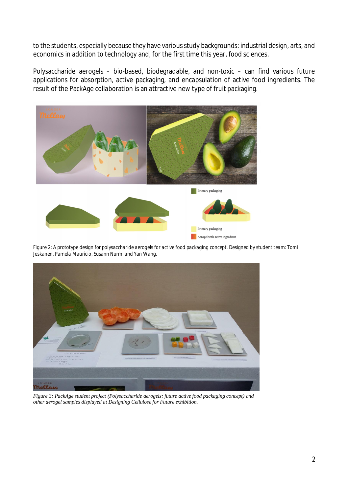to the students, especially because they have various study backgrounds: industrial design, arts, and economics in addition to technology and, for the first time this year, food sciences.

Polysaccharide aerogels – bio-based, biodegradable, and non-toxic – can find various future applications for absorption, active packaging, and encapsulation of active food ingredients. The result of the PackAge collaboration is an attractive new type of fruit packaging.



*Figure 2: A prototype design for polysaccharide aerogels for active food packaging concept. Designed by student team: Tomi Jeskanen, Pamela Mauricio, Susann Nurmi and Yan Wang.*



*Figure 3: PackAge student project (Polysaccharide aerogels: future active food packaging concept) and other aerogel samples displayed at Designing Cellulose for Future exhibition.*